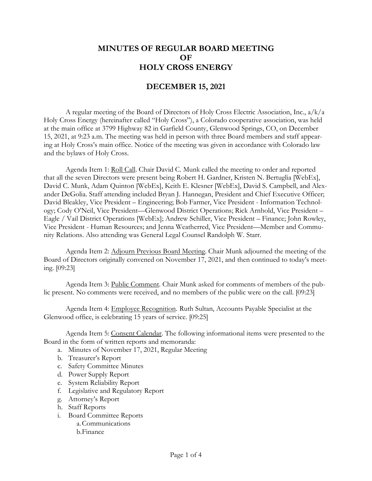## **MINUTES OF REGULAR BOARD MEETING OF HOLY CROSS ENERGY**

## **DECEMBER 15, 2021**

A regular meeting of the Board of Directors of Holy Cross Electric Association, Inc., a/k/a Holy Cross Energy (hereinafter called "Holy Cross"), a Colorado cooperative association, was held at the main office at 3799 Highway 82 in Garfield County, Glenwood Springs, CO, on December 15, 2021, at 9:23 a.m. The meeting was held in person with three Board members and staff appearing at Holy Cross's main office. Notice of the meeting was given in accordance with Colorado law and the bylaws of Holy Cross.

Agenda Item 1: Roll Call. Chair David C. Munk called the meeting to order and reported that all the seven Directors were present being Robert H. Gardner, Kristen N. Bertuglia [WebEx], David C. Munk, Adam Quinton [WebEx], Keith E. Klesner [WebEx], David S. Campbell, and Alexander DeGolia. Staff attending included Bryan J. Hannegan, President and Chief Executive Officer; David Bleakley, Vice President – Engineering; Bob Farmer, Vice President - Information Technology; Cody O'Neil, Vice President—Glenwood District Operations; Rick Arnhold, Vice President – Eagle / Vail District Operations [WebEx]; Andrew Schiller, Vice President – Finance; John Rowley, Vice President - Human Resources; and Jenna Weatherred, Vice President—Member and Community Relations. Also attending was General Legal Counsel Randolph W. Starr.

Agenda Item 2: Adjourn Previous Board Meeting. Chair Munk adjourned the meeting of the Board of Directors originally convened on November 17, 2021, and then continued to today's meeting. [09:23]

Agenda Item 3: Public Comment. Chair Munk asked for comments of members of the public present. No comments were received, and no members of the public were on the call. [09:23]

Agenda Item 4: Employee Recognition. Ruth Sultan, Accounts Payable Specialist at the Glenwood office, is celebrating 15 years of service. [09:25]

Agenda Item 5: Consent Calendar. The following informational items were presented to the Board in the form of written reports and memoranda:

- a. Minutes of November 17, 2021, Regular Meeting
- b. Treasurer's Report
- c. Safety Committee Minutes
- d. Power Supply Report
- e. System Reliability Report
- f. Legislative and Regulatory Report
- g. Attorney's Report
- h. Staff Reports
- i. Board Committee Reports
	- a.Communications
	- b.Finance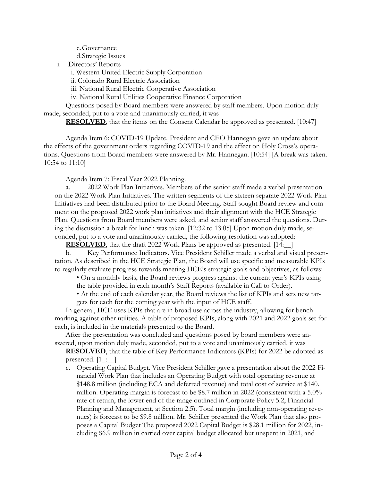c.Governance d.Strategic Issues

i. Directors' Reports

i. Western United Electric Supply Corporation

ii. Colorado Rural Electric Association

iii. National Rural Electric Cooperative Association

iv. National Rural Utilities Cooperative Finance Corporation

Questions posed by Board members were answered by staff members. Upon motion duly made, seconded, put to a vote and unanimously carried, it was

**RESOLVED**, that the items on the Consent Calendar be approved as presented. [10:47]

Agenda Item 6: COVID-19 Update. President and CEO Hannegan gave an update about the effects of the government orders regarding COVID-19 and the effect on Holy Cross's operations. Questions from Board members were answered by Mr. Hannegan. [10:54] [A break was taken. 10:54 to 11:10]

Agenda Item 7: Fiscal Year 2022 Planning.

a. 2022 Work Plan Initiatives. Members of the senior staff made a verbal presentation on the 2022 Work Plan Initiatives. The written segments of the sixteen separate 2022 Work Plan Initiatives had been distributed prior to the Board Meeting. Staff sought Board review and comment on the proposed 2022 work plan initiatives and their alignment with the HCE Strategic Plan. Questions from Board members were asked, and senior staff answered the questions. During the discussion a break for lunch was taken. [12:32 to 13:05] Upon motion duly made, seconded, put to a vote and unanimously carried, the following resolution was adopted:

**RESOLVED**, that the draft 2022 Work Plans be approved as presented. [14:  $\overline{ }$ ]

b. Key Performance Indicators. Vice President Schiller made a verbal and visual presentation. As described in the HCE Strategic Plan, the Board will use specific and measurable KPIs to regularly evaluate progress towards meeting HCE's strategic goals and objectives, as follows:

• On a monthly basis, the Board reviews progress against the current year's KPIs using the table provided in each month's Staff Reports (available in Call to Order).

• At the end of each calendar year, the Board reviews the list of KPIs and sets new targets for each for the coming year with the input of HCE staff.

In general, HCE uses KPIs that are in broad use across the industry, allowing for benchmarking against other utilities. A table of proposed KPIs, along with 2021 and 2022 goals set for each, is included in the materials presented to the Board.

After the presentation was concluded and questions posed by board members were answered, upon motion duly made, seconded, put to a vote and unanimously carried, it was

**RESOLVED**, that the table of Key Performance Indicators (KPIs) for 2022 be adopted as presented.  $[1 \_:\_]$ 

c. Operating Capital Budget. Vice President Schiller gave a presentation about the 2022 Financial Work Plan that includes an Operating Budget with total operating revenue at \$148.8 million (including ECA and deferred revenue) and total cost of service at \$140.1 million. Operating margin is forecast to be \$8.7 million in 2022 (consistent with a 5.0% rate of return, the lower end of the range outlined in Corporate Policy 5.2, Financial Planning and Management, at Section 2.5). Total margin (including non-operating revenues) is forecast to be \$9.8 million. Mr. Schiller presented the Work Plan that also proposes a Capital Budget The proposed 2022 Capital Budget is \$28.1 million for 2022, including \$6.9 million in carried over capital budget allocated but unspent in 2021, and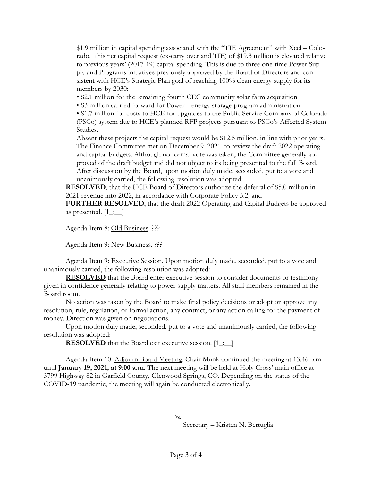\$1.9 million in capital spending associated with the "TIE Agreement" with Xcel – Colorado. This net capital request (ex-carry over and TIE) of \$19.3 million is elevated relative to previous years' (2017-19) capital spending. This is due to three one-time Power Supply and Programs initiatives previously approved by the Board of Directors and consistent with HCE's Strategic Plan goal of reaching 100% clean energy supply for its members by 2030:

- \$2.1 million for the remaining fourth CEC community solar farm acquisition
- \$3 million carried forward for Power+ energy storage program administration

• \$1.7 million for costs to HCE for upgrades to the Public Service Company of Colorado (PSCo) system due to HCE's planned RFP projects pursuant to PSCo's Affected System Studies.

Absent these projects the capital request would be \$12.5 million, in line with prior years. The Finance Committee met on December 9, 2021, to review the draft 2022 operating and capital budgets. Although no formal vote was taken, the Committee generally approved of the draft budget and did not object to its being presented to the full Board. After discussion by the Board, upon motion duly made, seconded, put to a vote and unanimously carried, the following resolution was adopted:

**RESOLVED**, that the HCE Board of Directors authorize the deferral of \$5.0 million in 2021 revenue into 2022, in accordance with Corporate Policy 5.2; and

**FURTHER RESOLVED**, that the draft 2022 Operating and Capital Budgets be approved as presented.  $[1 \_:\_]$ 

Agenda Item 8: Old Business. ???

Agenda Item 9: New Business. ???

Agenda Item 9: Executive Session. Upon motion duly made, seconded, put to a vote and unanimously carried, the following resolution was adopted:

**RESOLVED** that the Board enter executive session to consider documents or testimony given in confidence generally relating to power supply matters. All staff members remained in the Board room.

No action was taken by the Board to make final policy decisions or adopt or approve any resolution, rule, regulation, or formal action, any contract, or any action calling for the payment of money. Direction was given on negotiations.

Upon motion duly made, seconded, put to a vote and unanimously carried, the following resolution was adopted:

**RESOLVED** that the Board exit executive session. [1\_:\_]

Agenda Item 10: Adjourn Board Meeting. Chair Munk continued the meeting at 13:46 p.m. until **January 19, 2021, at 9:00 a.m**. The next meeting will be held at Holy Cross' main office at 3799 Highway 82 in Garfield County, Glenwood Springs, CO. Depending on the status of the COVID-19 pandemic, the meeting will again be conducted electronically.

Á

Secretary – Kristen N. Bertuglia